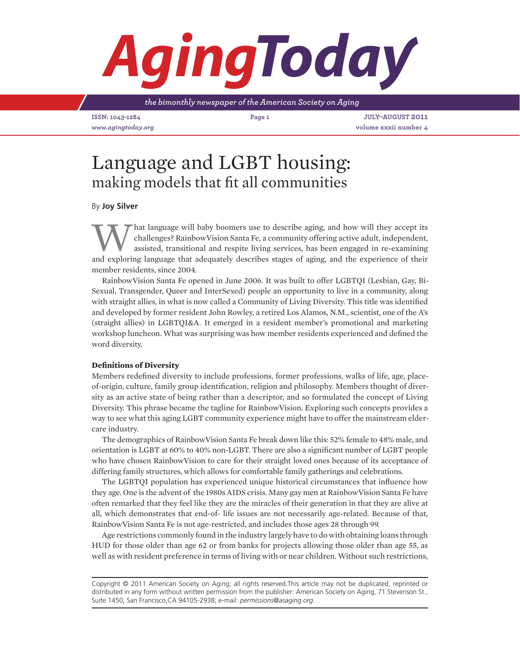## *Aging*

*the bimonthly newspaper of the American Society on Aging*

**ISSN: 1043-1284 Page 1 July–August 2011** *www.agingtoday.org* **volume xxxii number 4**

## Language and LGBT housing: making models that fit all communities

By **Joy Silver**

What language will baby boomers use to describe aging, and how will they accept its<br>challenges? RainbowVision Santa Fe, a community offering active adult, independent,<br>assisted, transitional and respite living services, ha challenges? RainbowVision Santa Fe, a community offering active adult, independent, assisted, transitional and respite living services, has been engaged in re-examining and exploring language that adequately describes stages of aging, and the experience of their member residents, since 2004.

RainbowVision Santa Fe opened in June 2006. It was built to offer LGBTQI (Lesbian, Gay, Bi-Sexual, Transgender, Queer and InterSexed) people an opportunity to live in a community, along with straight allies, in what is now called a Community of Living Diversity. This title was identified and developed by former resident John Rowley, a retired Los Alamos, N.M., scientist, one of the A's (straight allies) in LGBTQI&A. It emerged in a resident member's promotional and marketing workshop luncheon. What was surprising was how member residents experienced and defined the word diversity.

## **Definitions of Diversity**

Members redefined diversity to include professions, former professions, walks of life, age, placeof-origin, culture, family group identification, religion and philosophy. Members thought of diversity as an active state of being rather than a descriptor, and so formulated the concept of Living Diversity. This phrase became the tagline for RainbowVision. Exploring such concepts provides a way to see what this aging LGBT community experience might have to offer the mainstream eldercare industry.

The demographics of RainbowVision Santa Fe break down like this: 52% female to 48% male, and orientation is LGBT at 60% to 40% non-LGBT. There are also a significant number of LGBT people who have chosen RainbowVision to care for their straight loved ones because of its acceptance of differing family structures, which allows for comfortable family gatherings and celebrations.

The LGBTQI population has experienced unique historical circumstances that influence how they age. One is the advent of the 1980s AIDS crisis. Many gay men at RainbowVision Santa Fe have often remarked that they feel like they are the miracles of their generation in that they are alive at all, which demonstrates that end-of- life issues are not necessarily age-related. Because of that, RainbowVision Santa Fe is not age-restricted, and includes those ages 28 through 99.

Age restrictions commonly found in the industry largely have to do with obtaining loans through HUD for those older than age 62 or from banks for projects allowing those older than age 55, as well as with resident preference in terms of living with or near children. Without such restrictions,

Copyright © 2011 American Society on Aging; all rights reserved.This article may not be duplicated, reprinted or distributed in any form without written permission from the publisher: American Society on Aging, 71 Stevenson St., Suite 1450, San Francisco,CA 94105-2938; e-mail: *permissions@asaging.org*.